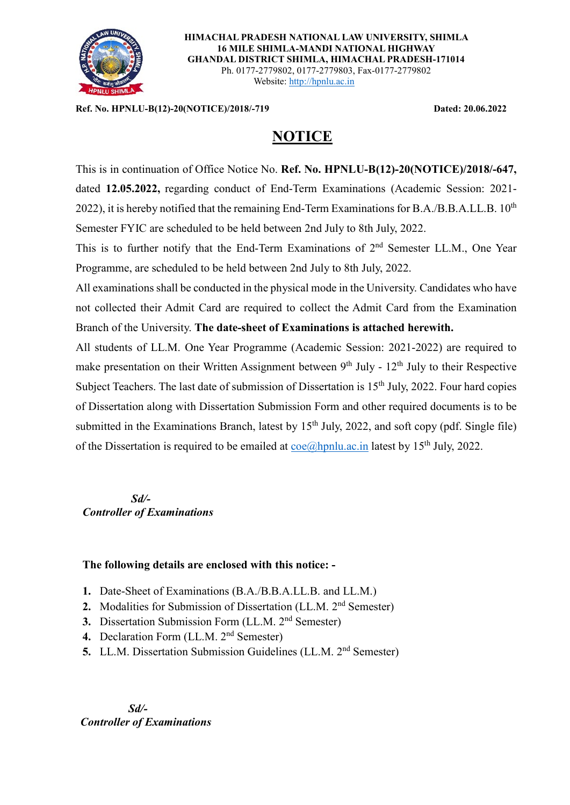

**HIMACHAL PRADESH NATIONAL LAW UNIVERSITY, SHIMLA 16 MILE SHIMLA-MANDI NATIONAL HIGHWAY GHANDAL DISTRICT SHIMLA, HIMACHAL PRADESH-171014** Ph. 0177-2779802, 0177-2779803, Fax-0177-2779802 Website: [http://hpnlu.ac.in](http://hpnlu.ac.in/)

**Ref. No. HPNLU-B(12)-20(NOTICE)/2018/-719 Dated: 20.06.2022**

## **NOTICE**

This is in continuation of Office Notice No. **Ref. No. HPNLU-B(12)-20(NOTICE)/2018/-647,**  dated **12.05.2022,** regarding conduct of End-Term Examinations (Academic Session: 2021- 2022), it is hereby notified that the remaining End-Term Examinations for B.A./B.B.A.LL.B. 10<sup>th</sup> Semester FYIC are scheduled to be held between 2nd July to 8th July, 2022.

This is to further notify that the End-Term Examinations of 2<sup>nd</sup> Semester LL.M., One Year Programme, are scheduled to be held between 2nd July to 8th July, 2022.

All examinations shall be conducted in the physical mode in the University. Candidates who have not collected their Admit Card are required to collect the Admit Card from the Examination Branch of the University. **The date-sheet of Examinations is attached herewith.**

All students of LL.M. One Year Programme (Academic Session: 2021-2022) are required to make presentation on their Written Assignment between  $9<sup>th</sup>$  July -  $12<sup>th</sup>$  July to their Respective Subject Teachers. The last date of submission of Dissertation is 15<sup>th</sup> July, 2022. Four hard copies of Dissertation along with Dissertation Submission Form and other required documents is to be submitted in the Examinations Branch, latest by  $15<sup>th</sup>$  July, 2022, and soft copy (pdf. Single file) of the Dissertation is required to be emailed at  $\cos(\theta)$  hpnlu.ac. in latest by 15<sup>th</sup> July, 2022.

 *Sd/- Controller of Examinations*

#### **The following details are enclosed with this notice: -**

- **1.** Date-Sheet of Examinations (B.A./B.B.A.LL.B. and LL.M.)
- **2.** Modalities for Submission of Dissertation (LL.M. 2<sup>nd</sup> Semester)
- **3.** Dissertation Submission Form (LL.M. 2<sup>nd</sup> Semester)
- 4. Declaration Form (LL.M. 2<sup>nd</sup> Semester)
- **5.** LL.M. Dissertation Submission Guidelines (LL.M. 2<sup>nd</sup> Semester)

 *Sd/- Controller of Examinations*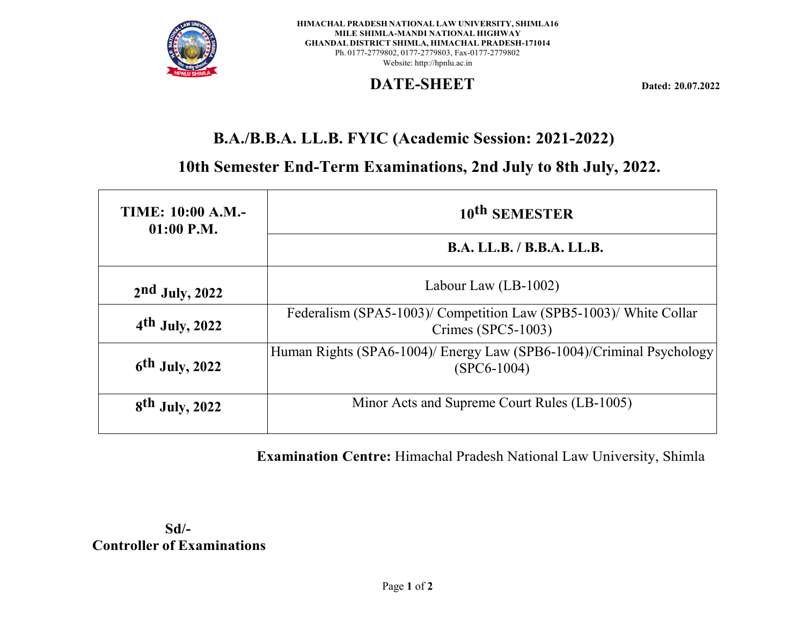

**HIMACHAL PRADESH NATIONAL LAW UNIVERSITY, SHIMLA16 MILE SHIMLA-MANDI NATIONAL HIGHWAY GHANDAL DISTRICT SHIMLA, HIMACHAL PRADESH-171014** Ph. 0177-2779802, 0177-2779803, Fax-0177-2779802 Website: [http://hpnlu.ac.in](http://hpnlu.ac.in/)

## **DATE-SHEET Dated: 20.07.2022**

# **B.A./B.B.A. LL.B. FYIC (Academic Session: 2021-2022)**

**10th Semester End-Term Examinations, 2nd July to 8th July, 2022.**

| <b>TIME: 10:00 A.M.-</b><br>$01:00$ P.M. | 10 <sup>th</sup> SEMESTER                                                               |  |  |  |  |
|------------------------------------------|-----------------------------------------------------------------------------------------|--|--|--|--|
|                                          | B.A. LL.B. / B.B.A. LL.B.                                                               |  |  |  |  |
| $2nd$ July, 2022                         | Labour Law $(LB-1002)$                                                                  |  |  |  |  |
| $4th$ July, 2022                         | Federalism (SPA5-1003)/ Competition Law (SPB5-1003)/ White Collar<br>Crimes (SPC5-1003) |  |  |  |  |
| $6th$ July, 2022                         | Human Rights (SPA6-1004)/ Energy Law (SPB6-1004)/Criminal Psychology<br>$(SPC6-1004)$   |  |  |  |  |
| $8th$ July, 2022                         | Minor Acts and Supreme Court Rules (LB-1005)                                            |  |  |  |  |

**Examination Centre:** Himachal Pradesh National Law University, Shimla

**Sd/- Controller of Examinations**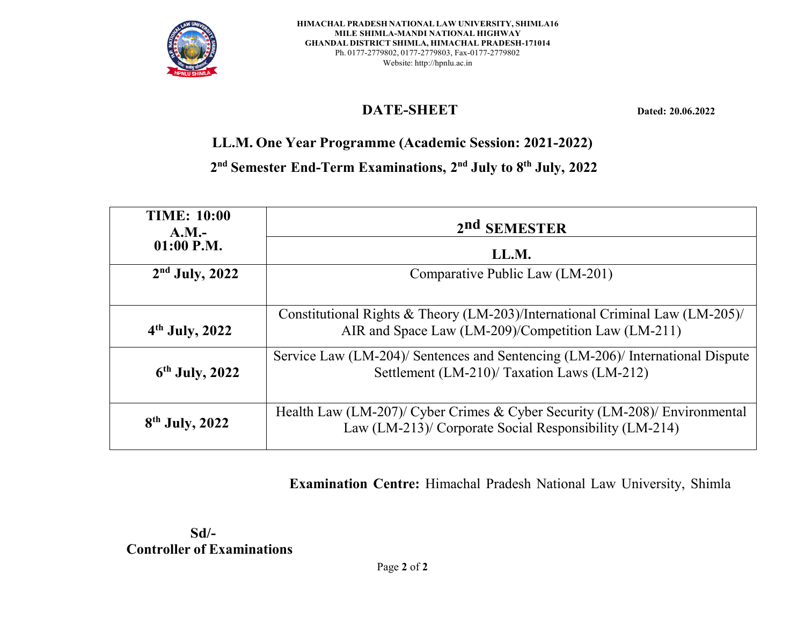

# **DATE-SHEET Dated: 20.06.2022**

**LL.M. One Year Programme (Academic Session: 2021-2022)**

**2nd Semester End-Term Examinations, 2nd July to 8th July, 2022**

| <b>TIME: 10:00</b><br>A.M. | 2 <sup>nd</sup> SEMESTER                                                                                                             |  |  |  |  |
|----------------------------|--------------------------------------------------------------------------------------------------------------------------------------|--|--|--|--|
| $01:00$ P.M.               | LL.M.                                                                                                                                |  |  |  |  |
| $2nd$ July, 2022           | Comparative Public Law (LM-201)                                                                                                      |  |  |  |  |
|                            |                                                                                                                                      |  |  |  |  |
| $4th$ July, 2022           | Constitutional Rights & Theory (LM-203)/International Criminal Law (LM-205)/<br>AIR and Space Law (LM-209)/Competition Law (LM-211)  |  |  |  |  |
| $6th$ July, 2022           | Service Law (LM-204)/ Sentences and Sentencing (LM-206)/ International Dispute<br>Settlement (LM-210)/ Taxation Laws (LM-212)        |  |  |  |  |
| $8th$ July, 2022           | Health Law (LM-207)/ Cyber Crimes & Cyber Security (LM-208)/ Environmental<br>Law (LM-213)/ Corporate Social Responsibility (LM-214) |  |  |  |  |

**Examination Centre:** Himachal Pradesh National Law University, Shimla

 **Sd/- Controller of Examinations**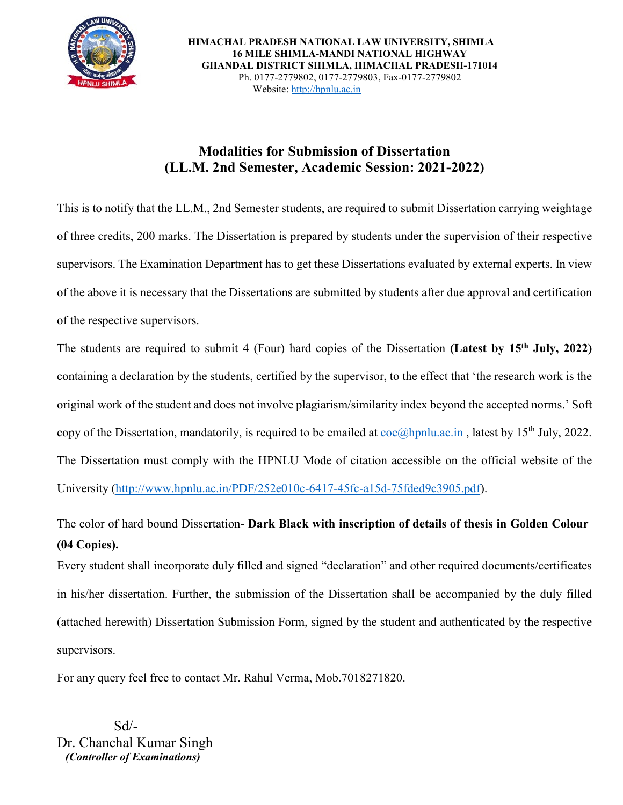

 **HIMACHAL PRADESH NATIONAL LAW UNIVERSITY, SHIMLA 16 MILE SHIMLA-MANDI NATIONAL HIGHWAY GHANDAL DISTRICT SHIMLA, HIMACHAL PRADESH-171014** Ph. 0177-2779802, 0177-2779803, Fax-0177-2779802 Website[: http://hpnlu.ac.in](http://hpnlu.ac.in/)

## **Modalities for Submission of Dissertation (LL.M. 2nd Semester, Academic Session: 2021-2022)**

This is to notify that the LL.M., 2nd Semester students, are required to submit Dissertation carrying weightage of three credits, 200 marks. The Dissertation is prepared by students under the supervision of their respective supervisors. The Examination Department has to get these Dissertations evaluated by external experts. In view of the above it is necessary that the Dissertations are submitted by students after due approval and certification of the respective supervisors.

The students are required to submit 4 (Four) hard copies of the Dissertation **(Latest by 15th July, 2022)** containing a declaration by the students, certified by the supervisor, to the effect that 'the research work is the original work of the student and does not involve plagiarism/similarity index beyond the accepted norms.' Soft copy of the Dissertation, mandatorily, is required to be emailed at  $\cos(\omega)$ hpnlu.ac.in, latest by 15<sup>th</sup> July, 2022. The Dissertation must comply with the HPNLU Mode of citation accessible on the official website of the University [\(http://www.hpnlu.ac.in/PDF/252e010c-6417-45fc-a15d-75fded9c3905.pdf\)](http://www.hpnlu.ac.in/PDF/252e010c-6417-45fc-a15d-75fded9c3905.pdf).

## The color of hard bound Dissertation- **Dark Black with inscription of details of thesis in Golden Colour (04 Copies).**

Every student shall incorporate duly filled and signed "declaration" and other required documents/certificates in his/her dissertation. Further, the submission of the Dissertation shall be accompanied by the duly filled (attached herewith) Dissertation Submission Form, signed by the student and authenticated by the respective supervisors.

For any query feel free to contact Mr. Rahul Verma, Mob.7018271820.

 $Sd$ <sup>-</sup> Dr. Chanchal Kumar Singh  *(Controller of Examinations)*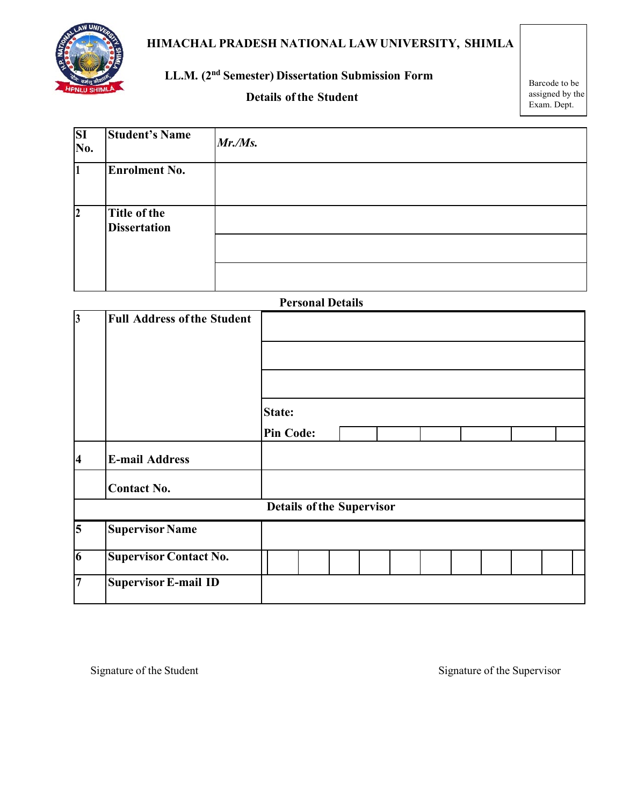

## **HIMACHAL PRADESH NATIONAL LAW UNIVERSITY, SHIMLA**

## **LL.M. (2nd Semester) Dissertation Submission Form**

### **Details** of the **Student**

Barcode to be assigned by the Exam. Dept.

| <b>SI</b><br>No. | <b>Student's Name</b>               | Mr.Ms. |
|------------------|-------------------------------------|--------|
|                  | <b>Enrolment No.</b>                |        |
| $\overline{2}$   | Title of the<br><b>Dissertation</b> |        |
|                  |                                     |        |
|                  |                                     |        |

|                         |                                    | <b>Personal Details</b>           |  |  |  |  |  |
|-------------------------|------------------------------------|-----------------------------------|--|--|--|--|--|
| $\vert 3 \vert$         | <b>Full Address of the Student</b> |                                   |  |  |  |  |  |
|                         |                                    | <b>State:</b><br><b>Pin Code:</b> |  |  |  |  |  |
| $\overline{\mathbf{4}}$ | <b>E-mail Address</b>              |                                   |  |  |  |  |  |
|                         | <b>Contact No.</b>                 |                                   |  |  |  |  |  |
|                         |                                    | <b>Details of the Supervisor</b>  |  |  |  |  |  |
| 5                       | <b>Supervisor Name</b>             |                                   |  |  |  |  |  |
| $\overline{6}$          | <b>Supervisor Contact No.</b>      |                                   |  |  |  |  |  |
| $\overline{7}$          | <b>Supervisor E-mail ID</b>        |                                   |  |  |  |  |  |

Signature of the Student Signature of the Supervisor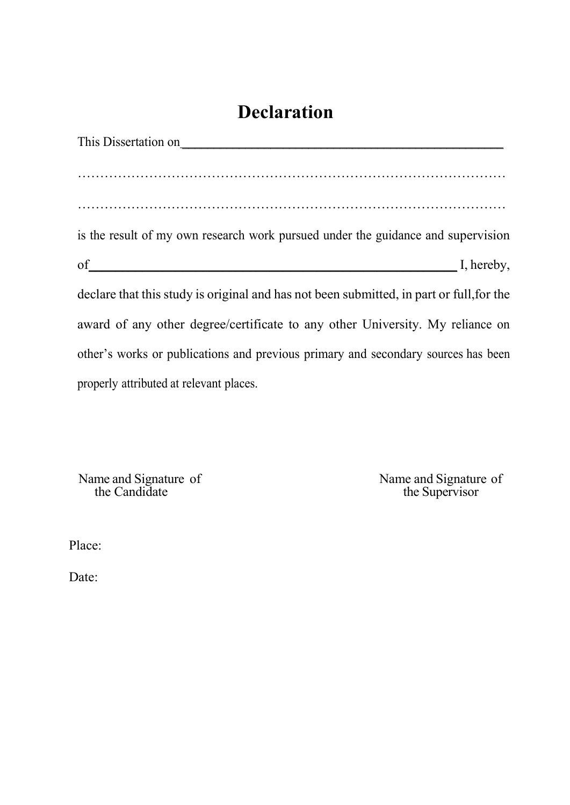# **Declaration**

| This Dissertation on                                                                     |
|------------------------------------------------------------------------------------------|
|                                                                                          |
|                                                                                          |
|                                                                                          |
| is the result of my own research work pursued under the guidance and supervision         |
| of I, hereby,                                                                            |
| declare that this study is original and has not been submitted, in part or full, for the |
| award of any other degree/certificate to any other University. My reliance on            |
| other's works or publications and previous primary and secondary sources has been        |
| properly attributed at relevant places.                                                  |

Name and Signature of Name and Signature of the Candidate the Supervisor

Place:

Date: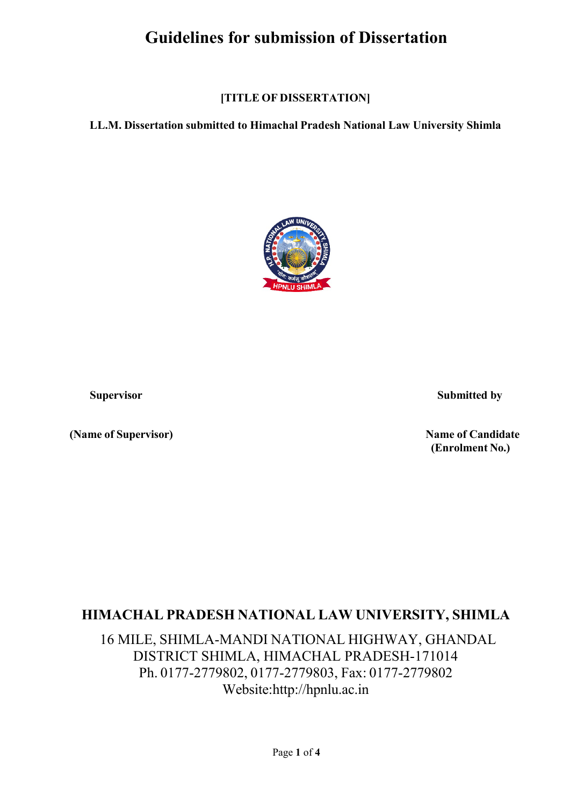# **Guidelines for submission of Dissertation**

**[TITLE OF DISSERTATION]**

**LL.M. Dissertation submitted to Himachal Pradesh National Law University Shimla**



**(Name of Supervisor) Name of Candidate**

**Supervisor Submitted by**

**(Enrolment No.)**

# **HIMACHAL PRADESH NATIONAL LAW UNIVERSITY, SHIMLA**

16 MILE, SHIMLA-MANDI NATIONAL HIGHWAY, GHANDAL DISTRICT SHIMLA, HIMACHAL PRADESH-171014 Ph. 0177-2779802, 0177-2779803, Fax: 0177-2779802 Webs[ite:ht](http://hpnlu.ac.in/)t[p://hpnlu.ac.in](http://hpnlu.ac.in/)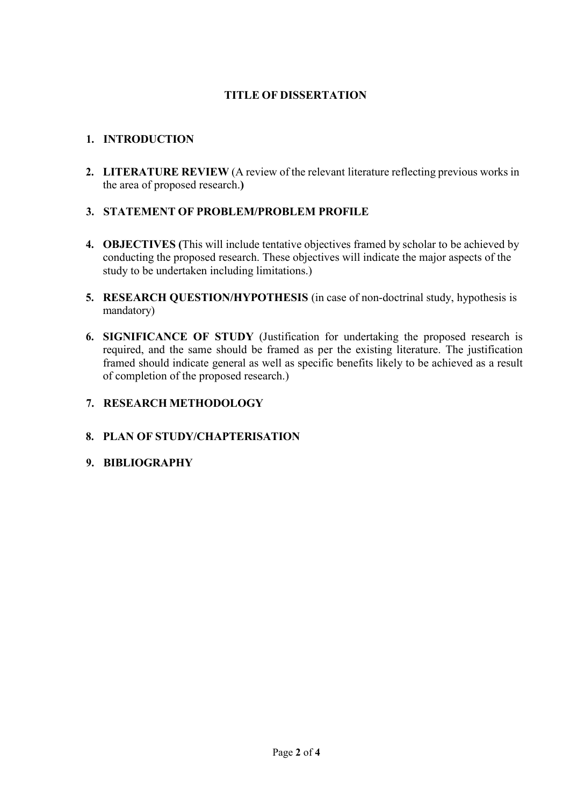#### **TITLE OF DISSERTATION**

#### **1. INTRODUCTION**

**2. LITERATURE REVIEW** (A review of the relevant literature reflecting previous works in the area of proposed research.**)**

#### **3. STATEMENT OF PROBLEM/PROBLEM PROFILE**

- **4. OBJECTIVES (**This will include tentative objectives framed by scholar to be achieved by conducting the proposed research. These objectives will indicate the major aspects of the study to be undertaken including limitations.)
- **5. RESEARCH QUESTION/HYPOTHESIS** (in case of non-doctrinal study, hypothesis is mandatory)
- **6. SIGNIFICANCE OF STUDY** (Justification for undertaking the proposed research is required, and the same should be framed as per the existing literature. The justification framed should indicate general as well as specific benefits likely to be achieved as a result of completion of the proposed research.)

#### **7. RESEARCH METHODOLOGY**

#### **8. PLAN OF STUDY/CHAPTERISATION**

#### **9. BIBLIOGRAPHY**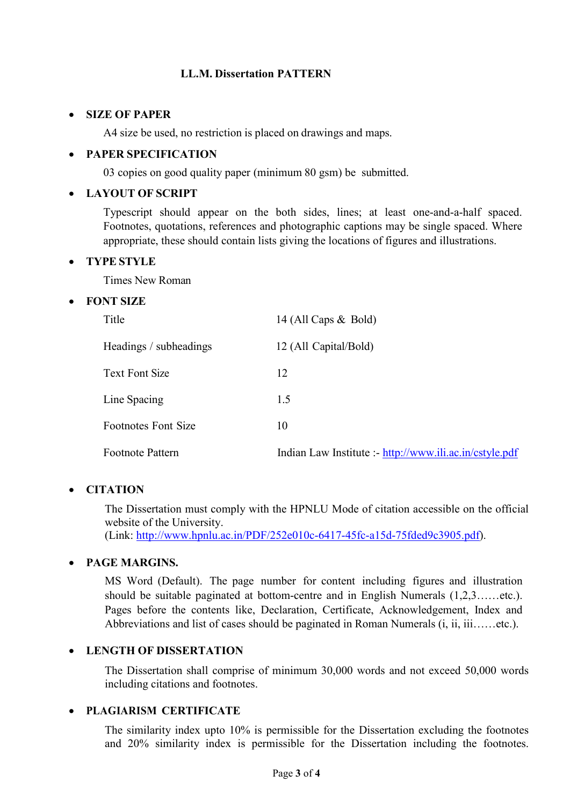#### **LL.M. Dissertation PATTERN**

#### • **SIZE OF PAPER**

A4 size be used, no restriction is placed on drawings and maps.

#### • **PAPER SPECIFICATION**

03 copies on good quality paper (minimum 80 gsm) be submitted.

#### • **LAYOUT OF SCRIPT**

Typescript should appear on the both sides, lines; at least one-and-a-half spaced. Footnotes, quotations, references and photographic captions may be single spaced. Where appropriate, these should contain lists giving the locations of figures and illustrations.

#### • **TYPE STYLE**

Times New Roman

#### • **FONT SIZE**

| Title                      | 14 (All Caps $\&$ Bold)                                 |
|----------------------------|---------------------------------------------------------|
| Headings / subheadings     | 12 (All Capital/Bold)                                   |
| Text Font Size             | 12                                                      |
| Line Spacing               | 1.5                                                     |
| <b>Footnotes Font Size</b> | 10                                                      |
| Footnote Pattern           | Indian Law Institute :- http://www.ili.ac.in/cstyle.pdf |

#### • **CITATION**

The Dissertation must comply with the HPNLU Mode of citation accessible on the official website of the University.

(Link: [http://www.hpnlu.ac.in/PDF/252e010c-6417-45fc-a15d-75fded9c3905.pdf\)](http://www.hpnlu.ac.in/PDF/252e010c-6417-45fc-a15d-75fded9c3905.pdf).

#### • **PAGE MARGINS.**

MS Word (Default). The page number for content including figures and illustration should be suitable paginated at bottom-centre and in English Numerals (1,2,3……etc.). Pages before the contents like, Declaration, Certificate, Acknowledgement, Index and Abbreviations and list of cases should be paginated in Roman Numerals (i, ii, iii……etc.).

#### • **LENGTH OF DISSERTATION**

The Dissertation shall comprise of minimum 30,000 words and not exceed 50,000 words including citations and footnotes.

#### • **PLAGIARISM CERTIFICATE**

The similarity index upto 10% is permissible for the Dissertation excluding the footnotes and 20% similarity index is permissible for the Dissertation including the footnotes.